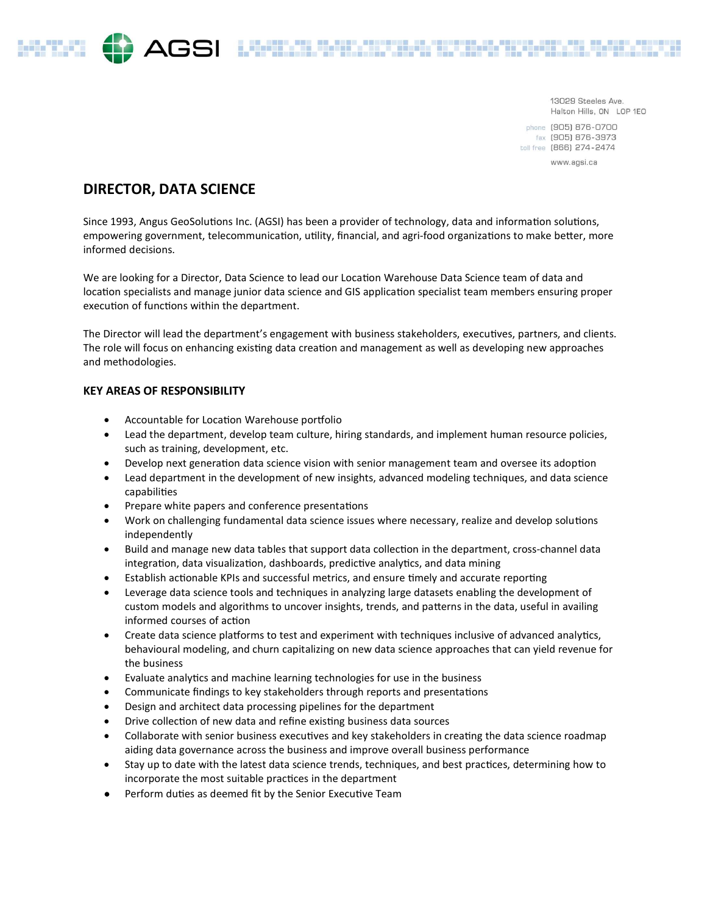#### 13029 Steeles Ave. Halton Hills, ON LOP 1EO

phone (905) 876-0700 fax (905) 876-3973 toll free [866] 274-2474

www.agsi.ca

# DIRECTOR, DATA SCIENCE

Since 1993, Angus GeoSolutions Inc. (AGSI) has been a provider of technology, data and information solutions, empowering government, telecommunication, utility, financial, and agri-food organizations to make better, more informed decisions.

AGSI LEEDILE EELIKUME KARE

We are looking for a Director, Data Science to lead our Location Warehouse Data Science team of data and location specialists and manage junior data science and GIS application specialist team members ensuring proper execution of functions within the department.

The Director will lead the department's engagement with business stakeholders, executives, partners, and clients. The role will focus on enhancing existing data creation and management as well as developing new approaches and methodologies.

## KEY AREAS OF RESPONSIBILITY

- Accountable for Location Warehouse portfolio
- Lead the department, develop team culture, hiring standards, and implement human resource policies, such as training, development, etc.
- Develop next generation data science vision with senior management team and oversee its adoption
- Lead department in the development of new insights, advanced modeling techniques, and data science capabiliƟes
- Prepare white papers and conference presentations
- Work on challenging fundamental data science issues where necessary, realize and develop solutions independently
- Build and manage new data tables that support data collection in the department, cross-channel data integration, data visualization, dashboards, predictive analytics, and data mining
- Establish actionable KPIs and successful metrics, and ensure timely and accurate reporting
- Leverage data science tools and techniques in analyzing large datasets enabling the development of custom models and algorithms to uncover insights, trends, and patterns in the data, useful in availing informed courses of action
- Create data science platforms to test and experiment with techniques inclusive of advanced analytics, behavioural modeling, and churn capitalizing on new data science approaches that can yield revenue for the business
- Evaluate analytics and machine learning technologies for use in the business
- Communicate findings to key stakeholders through reports and presentations
- Design and architect data processing pipelines for the department
- Drive collection of new data and refine existing business data sources
- Collaborate with senior business executives and key stakeholders in creating the data science roadmap aiding data governance across the business and improve overall business performance
- Stay up to date with the latest data science trends, techniques, and best practices, determining how to incorporate the most suitable practices in the department
- **•** Perform duties as deemed fit by the Senior Executive Team